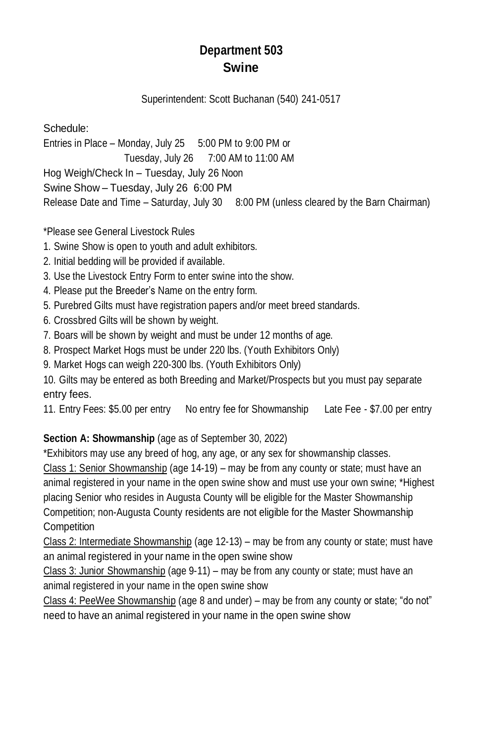# **Department 503 Swine**

#### Superintendent: Scott Buchanan (540) 241-0517

Schedule: Entries in Place – Monday, July 25 5:00 PM to 9:00 PM or Tuesday, July 26 7:00 AM to 11:00 AM Hog Weigh/Check In – Tuesday, July 26 Noon Swine Show – Tuesday, July 26 6:00 PM Release Date and Time - Saturday, July 30 8:00 PM (unless cleared by the Barn Chairman)

\*Please see General Livestock Rules

- 1. Swine Show is open to youth and adult exhibitors.
- 2. Initial bedding will be provided if available.
- 3. Use the Livestock Entry Form to enter swine into the show.
- 4. Please put the Breeder's Name on the entry form.
- 5. Purebred Gilts must have registration papers and/or meet breed standards.
- 6. Crossbred Gilts will be shown by weight.
- 7. Boars will be shown by weight and must be under 12 months of age.
- 8. Prospect Market Hogs must be under 220 lbs. (Youth Exhibitors Only)
- 9. Market Hogs can weigh 220-300 lbs. (Youth Exhibitors Only)

10. Gilts may be entered as both Breeding and Market/Prospects but you must pay separate entry fees.

11. Entry Fees: \$5.00 per entry No entry fee for Showmanship Late Fee - \$7.00 per entry

## **Section A: Showmanship** (age as of September 30, 2022)

\*Exhibitors may use any breed of hog, any age, or any sex for showmanship classes.

Class 1: Senior Showmanship (age 14-19) – may be from any county or state; must have an animal registered in your name in the open swine show and must use your own swine; \*Highest placing Senior who resides in Augusta County will be eligible for the Master Showmanship Competition; non-Augusta County residents are not eligible for the Master Showmanship **Competition** 

Class 2: Intermediate Showmanship (age 12-13) – may be from any county or state; must have an animal registered in your name in the open swine show

Class 3: Junior Showmanship (age 9-11) – may be from any county or state; must have an animal registered in your name in the open swine show

Class 4: PeeWee Showmanship (age 8 and under) – may be from any county or state; "do not" need to have an animal registered in your name in the open swine show